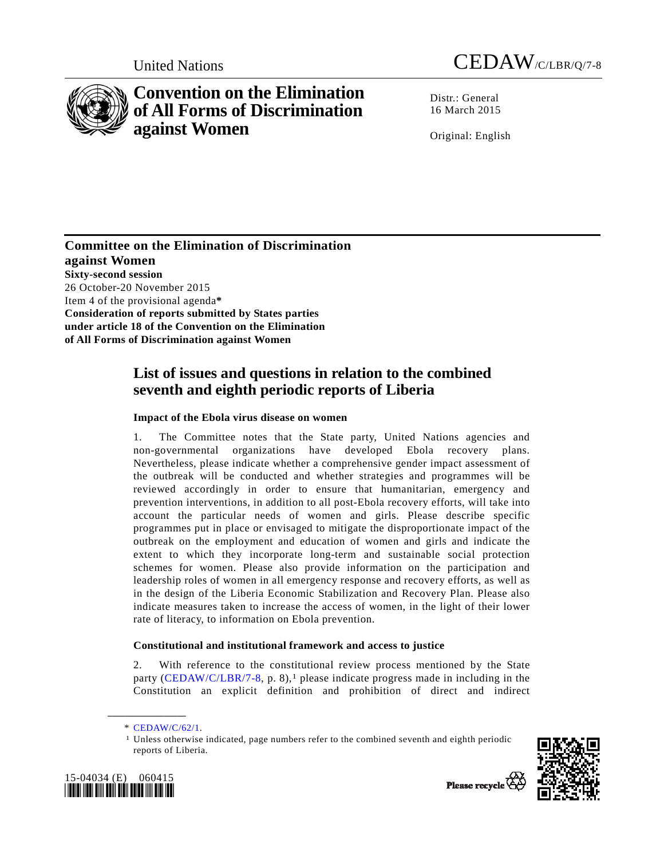

# **Convention on the Elimination of All Forms of Discrimination against Women**

Distr.: General 16 March 2015

Original: English

**Committee on the Elimination of Discrimination against Women Sixty-second session**  26 October-20 November 2015 Item 4 of the provisional agenda**\* Consideration of reports submitted by States parties under article 18 of the Convention on the Elimination of All Forms of Discrimination against Women** 

## **List of issues and questions in relation to the combined seventh and eighth periodic reports of Liberia**

## **Impact of the Ebola virus disease on women**

1. The Committee notes that the State party, United Nations agencies and non-governmental organizations have developed Ebola recovery plans. Nevertheless, please indicate whether a comprehensive gender impact assessment of the outbreak will be conducted and whether strategies and programmes will be reviewed accordingly in order to ensure that humanitarian, emergency and prevention interventions, in addition to all post-Ebola recovery efforts, will take into account the particular needs of women and girls. Please describe specific programmes put in place or envisaged to mitigate the disproportionate impact of the outbreak on the employment and education of women and girls and indicate the extent to which they incorporate long-term and sustainable social protection schemes for women. Please also provide information on the participation and leadership roles of women in all emergency response and recovery efforts, as well as in the design of the Liberia Economic Stabilization and Recovery Plan. Please also indicate measures taken to increase the access of women, in the light of their lower rate of literacy, to information on Ebola prevention.

## **Constitutional and institutional framework and access to justice**

2. With reference to the constitutional review process mentioned by the State party (CEDAW/C/LBR/7-8, p. 8),<sup>1</sup> please indicate progress made in including in the Constitution an explicit definition and prohibition of direct and indirect

**\_\_\_\_\_\_\_\_\_\_\_\_\_\_\_\_\_\_** 

<sup>1</sup> Unless otherwise indicated, page numbers refer to the combined seventh and eighth periodic reports of Liberia.





Please recycle  $\overline{V}$ 

 <sup>\*</sup> CEDAW/C/62/1.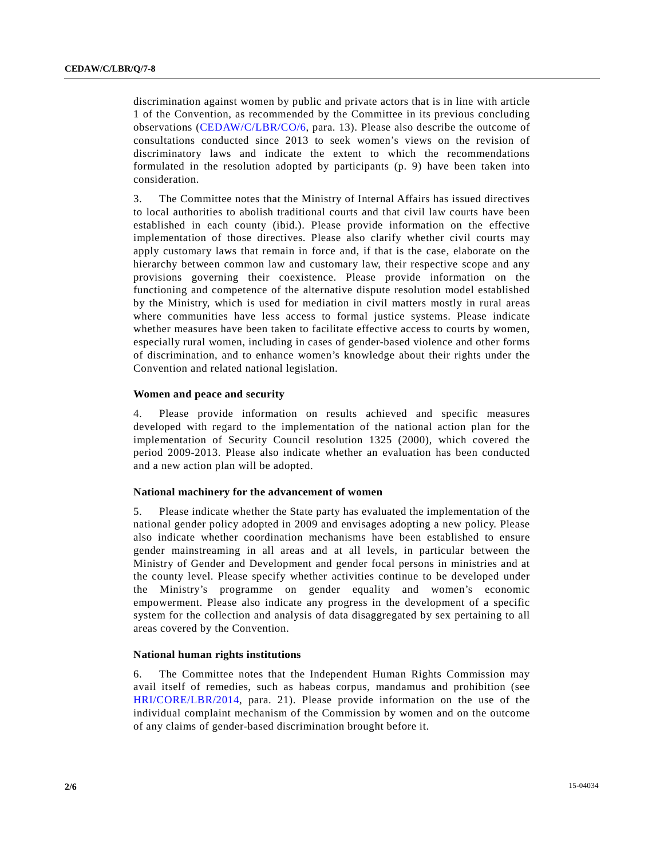discrimination against women by public and private actors that is in line with article 1 of the Convention, as recommended by the Committee in its previous concluding observations (CEDAW/C/LBR/CO/6, para. 13). Please also describe the outcome of consultations conducted since 2013 to seek women's views on the revision of discriminatory laws and indicate the extent to which the recommendations formulated in the resolution adopted by participants (p. 9) have been taken into consideration.

3. The Committee notes that the Ministry of Internal Affairs has issued directives to local authorities to abolish traditional courts and that civil law courts have been established in each county (ibid.). Please provide information on the effective implementation of those directives. Please also clarify whether civil courts may apply customary laws that remain in force and, if that is the case, elaborate on the hierarchy between common law and customary law, their respective scope and any provisions governing their coexistence. Please provide information on the functioning and competence of the alternative dispute resolution model established by the Ministry, which is used for mediation in civil matters mostly in rural areas where communities have less access to formal justice systems. Please indicate whether measures have been taken to facilitate effective access to courts by women, especially rural women, including in cases of gender-based violence and other forms of discrimination, and to enhance women's knowledge about their rights under the Convention and related national legislation.

#### **Women and peace and security**

4. Please provide information on results achieved and specific measures developed with regard to the implementation of the national action plan for the implementation of Security Council resolution 1325 (2000), which covered the period 2009-2013. Please also indicate whether an evaluation has been conducted and a new action plan will be adopted.

#### **National machinery for the advancement of women**

5. Please indicate whether the State party has evaluated the implementation of the national gender policy adopted in 2009 and envisages adopting a new policy. Please also indicate whether coordination mechanisms have been established to ensure gender mainstreaming in all areas and at all levels, in particular between the Ministry of Gender and Development and gender focal persons in ministries and at the county level. Please specify whether activities continue to be developed under the Ministry's programme on gender equality and women's economic empowerment. Please also indicate any progress in the development of a specific system for the collection and analysis of data disaggregated by sex pertaining to all areas covered by the Convention.

#### **National human rights institutions**

6. The Committee notes that the Independent Human Rights Commission may avail itself of remedies, such as habeas corpus, mandamus and prohibition (see HRI/CORE/LBR/2014, para. 21). Please provide information on the use of the individual complaint mechanism of the Commission by women and on the outcome of any claims of gender-based discrimination brought before it.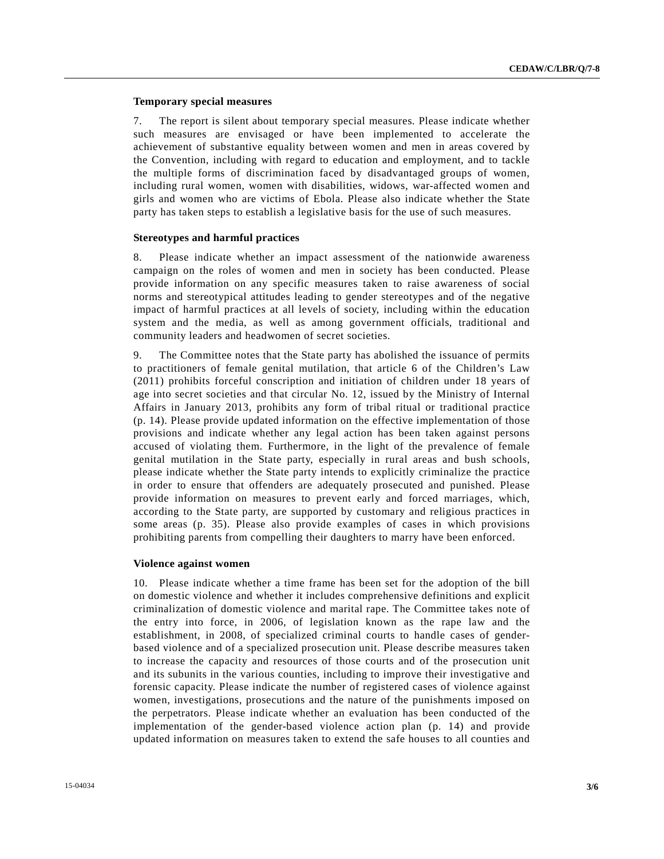#### **Temporary special measures**

7. The report is silent about temporary special measures. Please indicate whether such measures are envisaged or have been implemented to accelerate the achievement of substantive equality between women and men in areas covered by the Convention, including with regard to education and employment, and to tackle the multiple forms of discrimination faced by disadvantaged groups of women, including rural women, women with disabilities, widows, war-affected women and girls and women who are victims of Ebola. Please also indicate whether the State party has taken steps to establish a legislative basis for the use of such measures.

#### **Stereotypes and harmful practices**

8. Please indicate whether an impact assessment of the nationwide awareness campaign on the roles of women and men in society has been conducted. Please provide information on any specific measures taken to raise awareness of social norms and stereotypical attitudes leading to gender stereotypes and of the negative impact of harmful practices at all levels of society, including within the education system and the media, as well as among government officials, traditional and community leaders and headwomen of secret societies.

9. The Committee notes that the State party has abolished the issuance of permits to practitioners of female genital mutilation, that article 6 of the Children's Law (2011) prohibits forceful conscription and initiation of children under 18 years of age into secret societies and that circular No. 12, issued by the Ministry of Internal Affairs in January 2013, prohibits any form of tribal ritual or traditional practice (p. 14). Please provide updated information on the effective implementation of those provisions and indicate whether any legal action has been taken against persons accused of violating them. Furthermore, in the light of the prevalence of female genital mutilation in the State party, especially in rural areas and bush schools, please indicate whether the State party intends to explicitly criminalize the practice in order to ensure that offenders are adequately prosecuted and punished. Please provide information on measures to prevent early and forced marriages, which, according to the State party, are supported by customary and religious practices in some areas (p. 35). Please also provide examples of cases in which provisions prohibiting parents from compelling their daughters to marry have been enforced.

#### **Violence against women**

10. Please indicate whether a time frame has been set for the adoption of the bill on domestic violence and whether it includes comprehensive definitions and explicit criminalization of domestic violence and marital rape. The Committee takes note of the entry into force, in 2006, of legislation known as the rape law and the establishment, in 2008, of specialized criminal courts to handle cases of genderbased violence and of a specialized prosecution unit. Please describe measures taken to increase the capacity and resources of those courts and of the prosecution unit and its subunits in the various counties, including to improve their investigative and forensic capacity. Please indicate the number of registered cases of violence against women, investigations, prosecutions and the nature of the punishments imposed on the perpetrators. Please indicate whether an evaluation has been conducted of the implementation of the gender-based violence action plan (p. 14) and provide updated information on measures taken to extend the safe houses to all counties and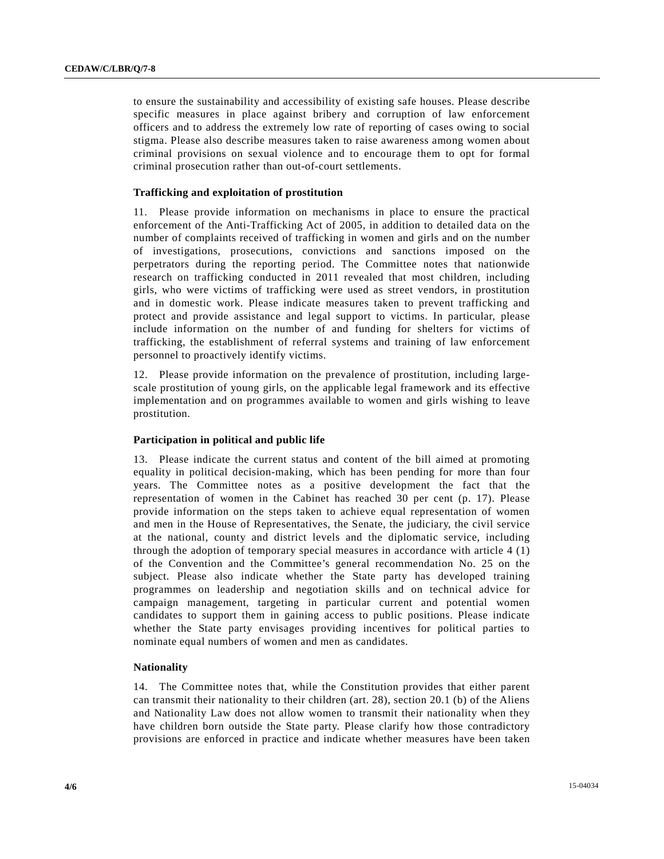to ensure the sustainability and accessibility of existing safe houses. Please describe specific measures in place against bribery and corruption of law enforcement officers and to address the extremely low rate of reporting of cases owing to social stigma. Please also describe measures taken to raise awareness among women about criminal provisions on sexual violence and to encourage them to opt for formal criminal prosecution rather than out-of-court settlements.

#### **Trafficking and exploitation of prostitution**

11. Please provide information on mechanisms in place to ensure the practical enforcement of the Anti-Trafficking Act of 2005, in addition to detailed data on the number of complaints received of trafficking in women and girls and on the number of investigations, prosecutions, convictions and sanctions imposed on the perpetrators during the reporting period. The Committee notes that nationwide research on trafficking conducted in 2011 revealed that most children, including girls, who were victims of trafficking were used as street vendors, in prostitution and in domestic work. Please indicate measures taken to prevent trafficking and protect and provide assistance and legal support to victims. In particular, please include information on the number of and funding for shelters for victims of trafficking, the establishment of referral systems and training of law enforcement personnel to proactively identify victims.

12. Please provide information on the prevalence of prostitution, including largescale prostitution of young girls, on the applicable legal framework and its effective implementation and on programmes available to women and girls wishing to leave prostitution.

#### **Participation in political and public life**

13. Please indicate the current status and content of the bill aimed at promoting equality in political decision-making, which has been pending for more than four years. The Committee notes as a positive development the fact that the representation of women in the Cabinet has reached 30 per cent (p. 17). Please provide information on the steps taken to achieve equal representation of women and men in the House of Representatives, the Senate, the judiciary, the civil service at the national, county and district levels and the diplomatic service, including through the adoption of temporary special measures in accordance with article  $4(1)$ of the Convention and the Committee's general recommendation No. 25 on the subject. Please also indicate whether the State party has developed training programmes on leadership and negotiation skills and on technical advice for campaign management, targeting in particular current and potential women candidates to support them in gaining access to public positions. Please indicate whether the State party envisages providing incentives for political parties to nominate equal numbers of women and men as candidates.

### **Nationality**

14. The Committee notes that, while the Constitution provides that either parent can transmit their nationality to their children (art. 28), section 20.1 (b) of the Aliens and Nationality Law does not allow women to transmit their nationality when they have children born outside the State party. Please clarify how those contradictory provisions are enforced in practice and indicate whether measures have been taken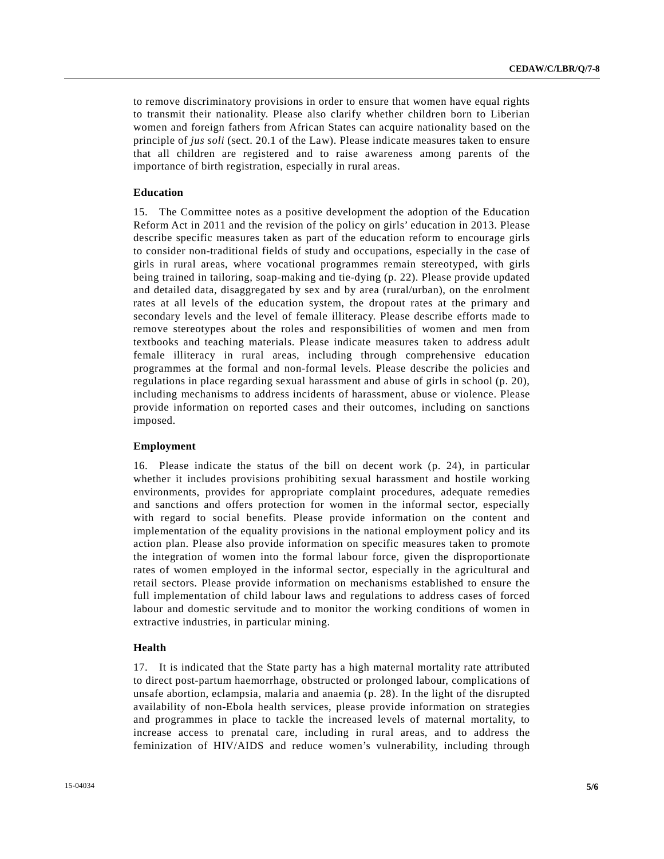to remove discriminatory provisions in order to ensure that women have equal rights to transmit their nationality. Please also clarify whether children born to Liberian women and foreign fathers from African States can acquire nationality based on the principle of *jus soli* (sect. 20.1 of the Law). Please indicate measures taken to ensure that all children are registered and to raise awareness among parents of the importance of birth registration, especially in rural areas.

#### **Education**

15. The Committee notes as a positive development the adoption of the Education Reform Act in 2011 and the revision of the policy on girls' education in 2013. Please describe specific measures taken as part of the education reform to encourage girls to consider non-traditional fields of study and occupations, especially in the case of girls in rural areas, where vocational programmes remain stereotyped, with girls being trained in tailoring, soap-making and tie-dying (p. 22). Please provide updated and detailed data, disaggregated by sex and by area (rural/urban), on the enrolment rates at all levels of the education system, the dropout rates at the primary and secondary levels and the level of female illiteracy. Please describe efforts made to remove stereotypes about the roles and responsibilities of women and men from textbooks and teaching materials. Please indicate measures taken to address adult female illiteracy in rural areas, including through comprehensive education programmes at the formal and non-formal levels. Please describe the policies and regulations in place regarding sexual harassment and abuse of girls in school (p. 20), including mechanisms to address incidents of harassment, abuse or violence. Please provide information on reported cases and their outcomes, including on sanctions imposed.

#### **Employment**

16. Please indicate the status of the bill on decent work (p. 24), in particular whether it includes provisions prohibiting sexual harassment and hostile working environments, provides for appropriate complaint procedures, adequate remedies and sanctions and offers protection for women in the informal sector, especially with regard to social benefits. Please provide information on the content and implementation of the equality provisions in the national employment policy and its action plan. Please also provide information on specific measures taken to promote the integration of women into the formal labour force, given the disproportionate rates of women employed in the informal sector, especially in the agricultural and retail sectors. Please provide information on mechanisms established to ensure the full implementation of child labour laws and regulations to address cases of forced labour and domestic servitude and to monitor the working conditions of women in extractive industries, in particular mining.

#### **Health**

17. It is indicated that the State party has a high maternal mortality rate attributed to direct post-partum haemorrhage, obstructed or prolonged labour, complications of unsafe abortion, eclampsia, malaria and anaemia (p. 28). In the light of the disrupted availability of non-Ebola health services, please provide information on strategies and programmes in place to tackle the increased levels of maternal mortality, to increase access to prenatal care, including in rural areas, and to address the feminization of HIV/AIDS and reduce women's vulnerability, including through